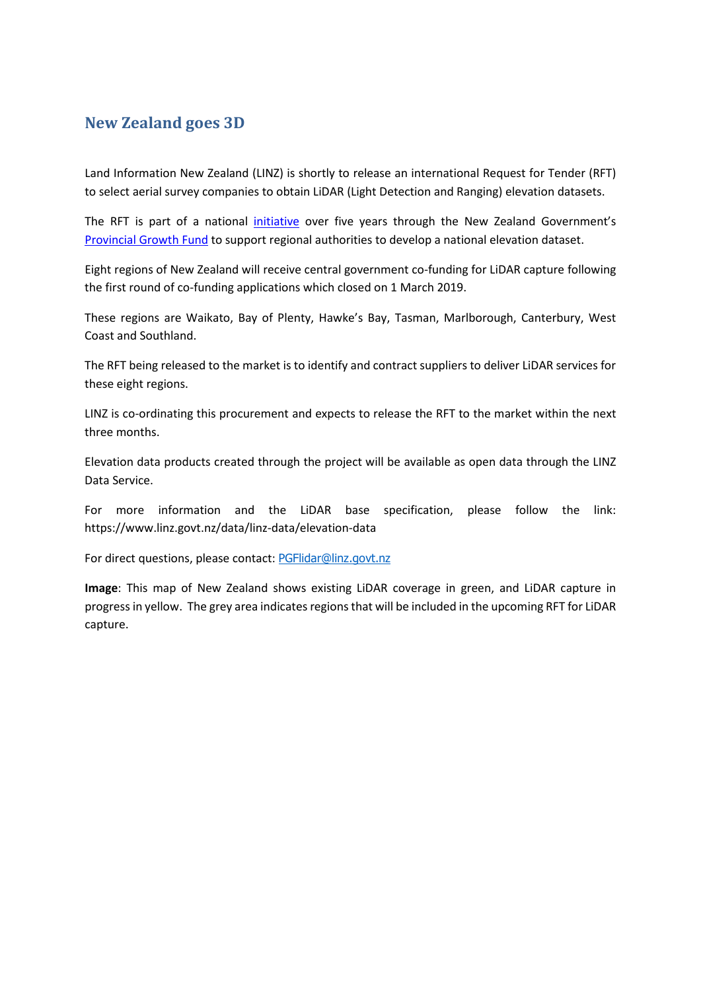## **New Zealand goes 3D**

Land Information New Zealand (LINZ) is shortly to release an international Request for Tender (RFT) to select aerial survey companies to obtain LiDAR (Light Detection and Ranging) elevation datasets.

The RFT is part of a national *[initiative](https://www.beehive.govt.nz/release/pgf-funds-3d-mapping-regions)* over five years through the New Zealand Government's [Provincial Growth Fund](https://www.growregions.govt.nz/about-us/the-provincial-growth-fund/) to support regional authorities to develop a national elevation dataset.

Eight regions of New Zealand will receive central government co-funding for LiDAR capture following the first round of co-funding applications which closed on 1 March 2019.

These regions are Waikato, Bay of Plenty, Hawke's Bay, Tasman, Marlborough, Canterbury, West Coast and Southland.

The RFT being released to the market is to identify and contract suppliers to deliver LiDAR services for these eight regions.

LINZ is co-ordinating this procurement and expects to release the RFT to the market within the next three months.

Elevation data products created through the project will be available as open data through the LINZ Data Service.

For more information and the LiDAR base specification, please follow the link: <https://www.linz.govt.nz/data/linz-data/elevation-data>

For direct questions, please contact: [PGFlidar@linz.govt.nz](mailto:PGFlidar@linz.govt.nz)

**Image**: This map of New Zealand shows existing LiDAR coverage in green, and LiDAR capture in progress in yellow. The grey area indicates regions that will be included in the upcoming RFT for LiDAR capture.